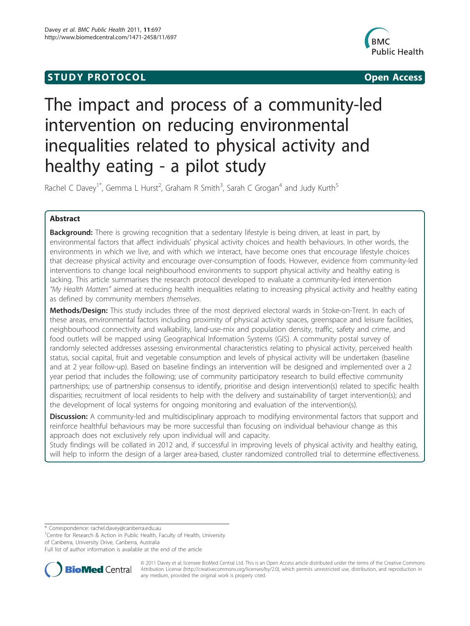## **STUDY PROTOCOL CONSUMING THE CONSUMING OPEN ACCESS**



# The impact and process of a community-led intervention on reducing environmental inequalities related to physical activity and healthy eating - a pilot study

Rachel C Davey<sup>1\*</sup>, Gemma L Hurst<sup>2</sup>, Graham R Smith<sup>3</sup>, Sarah C Grogan<sup>4</sup> and Judy Kurth<sup>5</sup>

## Abstract

**Background:** There is growing recognition that a sedentary lifestyle is being driven, at least in part, by environmental factors that affect individuals' physical activity choices and health behaviours. In other words, the environments in which we live, and with which we interact, have become ones that encourage lifestyle choices that decrease physical activity and encourage over-consumption of foods. However, evidence from community-led interventions to change local neighbourhood environments to support physical activity and healthy eating is lacking. This article summarises the research protocol developed to evaluate a community-led intervention "My Health Matters" aimed at reducing health inequalities relating to increasing physical activity and healthy eating as defined by community members themselves.

Methods/Design: This study includes three of the most deprived electoral wards in Stoke-on-Trent. In each of these areas, environmental factors including proximity of physical activity spaces, greenspace and leisure facilities, neighbourhood connectivity and walkability, land-use-mix and population density, traffic, safety and crime, and food outlets will be mapped using Geographical Information Systems (GIS). A community postal survey of randomly selected addresses assessing environmental characteristics relating to physical activity, perceived health status, social capital, fruit and vegetable consumption and levels of physical activity will be undertaken (baseline and at 2 year follow-up). Based on baseline findings an intervention will be designed and implemented over a 2 year period that includes the following; use of community participatory research to build effective community partnerships; use of partnership consensus to identify, prioritise and design intervention(s) related to specific health disparities; recruitment of local residents to help with the delivery and sustainability of target intervention(s); and the development of local systems for ongoing monitoring and evaluation of the intervention(s).

Discussion: A community-led and multidisciplinary approach to modifying environmental factors that support and reinforce healthful behaviours may be more successful than focusing on individual behaviour change as this approach does not exclusively rely upon individual will and capacity.

Study findings will be collated in 2012 and, if successful in improving levels of physical activity and healthy eating, will help to inform the design of a larger area-based, cluster randomized controlled trial to determine effectiveness.

\* Correspondence: [rachel.davey@canberra.edu.au](mailto:rachel.davey@canberra.edu.au)

<sup>1</sup> Centre for Research & Action in Public Health, Faculty of Health, University of Canberra, University Drive, Canberra, Australia

Full list of author information is available at the end of the article



© 2011 Davey et al; licensee BioMed Central Ltd. This is an Open Access article distributed under the terms of the Creative Commons Attribution License [\(http://creativecommons.org/licenses/by/2.0](http://creativecommons.org/licenses/by/2.0)), which permits unrestricted use, distribution, and reproduction in any medium, provided the original work is properly cited.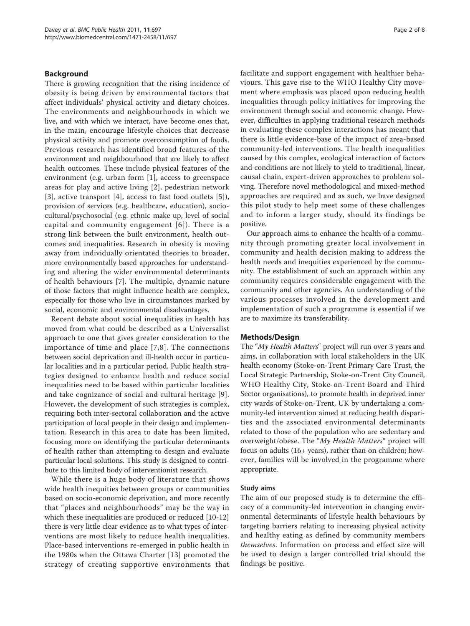#### Background

There is growing recognition that the rising incidence of obesity is being driven by environmental factors that affect individuals' physical activity and dietary choices. The environments and neighbourhoods in which we live, and with which we interact, have become ones that, in the main, encourage lifestyle choices that decrease physical activity and promote overconsumption of foods. Previous research has identified broad features of the environment and neighbourhood that are likely to affect health outcomes. These include physical features of the environment (e.g. urban form [\[1](#page-6-0)], access to greenspace areas for play and active living [[2\]](#page-6-0), pedestrian network [[3\]](#page-7-0), active transport [[4\]](#page-7-0), access to fast food outlets [[5\]](#page-7-0)), provision of services (e.g. healthcare, education), sociocultural/psychosocial (e.g. ethnic make up, level of social capital and community engagement [[6](#page-7-0)]). There is a strong link between the built environment, health outcomes and inequalities. Research in obesity is moving away from individually orientated theories to broader, more environmentally based approaches for understanding and altering the wider environmental determinants of health behaviours [[7\]](#page-7-0). The multiple, dynamic nature of those factors that might influence health are complex, especially for those who live in circumstances marked by social, economic and environmental disadvantages.

Recent debate about social inequalities in health has moved from what could be described as a Universalist approach to one that gives greater consideration to the importance of time and place [[7,8\]](#page-7-0). The connections between social deprivation and ill-health occur in particular localities and in a particular period. Public health strategies designed to enhance health and reduce social inequalities need to be based within particular localities and take cognizance of social and cultural heritage [[9\]](#page-7-0). However, the development of such strategies is complex, requiring both inter-sectoral collaboration and the active participation of local people in their design and implementation. Research in this area to date has been limited, focusing more on identifying the particular determinants of health rather than attempting to design and evaluate particular local solutions. This study is designed to contribute to this limited body of interventionist research.

While there is a huge body of literature that shows wide health inequities between groups or communities based on socio-economic deprivation, and more recently that "places and neighbourhoods" may be the way in which these inequalities are produced or reduced [\[10-12](#page-7-0)] there is very little clear evidence as to what types of interventions are most likely to reduce health inequalities. Place-based interventions re-emerged in public health in the 1980s when the Ottawa Charter [[13](#page-7-0)] promoted the strategy of creating supportive environments that facilitate and support engagement with healthier behaviours. This gave rise to the WHO Healthy City movement where emphasis was placed upon reducing health inequalities through policy initiatives for improving the environment through social and economic change. However, difficulties in applying traditional research methods in evaluating these complex interactions has meant that there is little evidence-base of the impact of area-based community-led interventions. The health inequalities caused by this complex, ecological interaction of factors and conditions are not likely to yield to traditional, linear, causal chain, expert-driven approaches to problem solving. Therefore novel methodological and mixed-method approaches are required and as such, we have designed this pilot study to help meet some of these challenges and to inform a larger study, should its findings be positive.

Our approach aims to enhance the health of a community through promoting greater local involvement in community and health decision making to address the health needs and inequities experienced by the community. The establishment of such an approach within any community requires considerable engagement with the community and other agencies. An understanding of the various processes involved in the development and implementation of such a programme is essential if we are to maximize its transferability.

#### Methods/Design

The "My Health Matters" project will run over 3 years and aims, in collaboration with local stakeholders in the UK health economy (Stoke-on-Trent Primary Care Trust, the Local Strategic Partnership, Stoke-on-Trent City Council, WHO Healthy City, Stoke-on-Trent Board and Third Sector organisations), to promote health in deprived inner city wards of Stoke-on-Trent, UK by undertaking a community-led intervention aimed at reducing health disparities and the associated environmental determinants related to those of the population who are sedentary and overweight/obese. The "My Health Matters" project will focus on adults (16+ years), rather than on children; however, families will be involved in the programme where appropriate.

#### Study aims

The aim of our proposed study is to determine the efficacy of a community-led intervention in changing environmental determinants of lifestyle health behaviours by targeting barriers relating to increasing physical activity and healthy eating as defined by community members themselves. Information on process and effect size will be used to design a larger controlled trial should the findings be positive.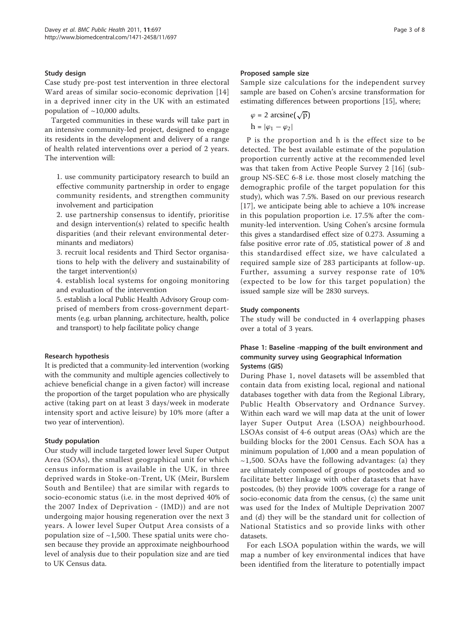#### Study design

Case study pre-post test intervention in three electoral Ward areas of similar socio-economic deprivation [\[14](#page-7-0)] in a deprived inner city in the UK with an estimated population of ~10,000 adults.

Targeted communities in these wards will take part in an intensive community-led project, designed to engage its residents in the development and delivery of a range of health related interventions over a period of 2 years. The intervention will:

1. use community participatory research to build an effective community partnership in order to engage community residents, and strengthen community involvement and participation

2. use partnership consensus to identify, prioritise and design intervention(s) related to specific health disparities (and their relevant environmental determinants and mediators)

3. recruit local residents and Third Sector organisations to help with the delivery and sustainability of the target intervention(s)

4. establish local systems for ongoing monitoring and evaluation of the intervention

5. establish a local Public Health Advisory Group comprised of members from cross-government departments (e.g. urban planning, architecture, health, police and transport) to help facilitate policy change

## Research hypothesis

It is predicted that a community-led intervention (working with the community and multiple agencies collectively to achieve beneficial change in a given factor) will increase the proportion of the target population who are physically active (taking part on at least 3 days/week in moderate intensity sport and active leisure) by 10% more (after a two year of intervention).

## Study population

Our study will include targeted lower level Super Output Area (SOAs), the smallest geographical unit for which census information is available in the UK, in three deprived wards in Stoke-on-Trent, UK (Meir, Burslem South and Bentilee) that are similar with regards to socio-economic status (i.e. in the most deprived 40% of the 2007 Index of Deprivation - (IMD)) and are not undergoing major housing regeneration over the next 3 years. A lower level Super Output Area consists of a population size of  $\sim$ 1,500. These spatial units were chosen because they provide an approximate neighbourhood level of analysis due to their population size and are tied to UK Census data.

## Proposed sample size

Sample size calculations for the independent survey sample are based on Cohen's arcsine transformation for estimating differences between proportions [\[15\]](#page-7-0), where;

$$
\varphi = 2 \arcsin\left(\sqrt{p}\right)
$$

$$
h = |\varphi_1 - \varphi_2|
$$

P is the proportion and h is the effect size to be detected. The best available estimate of the population proportion currently active at the recommended level was that taken from Active People Survey 2 [[16](#page-7-0)] (subgroup NS-SEC 6-8 i.e. those most closely matching the demographic profile of the target population for this study), which was 7.5%. Based on our previous research [[17\]](#page-7-0), we anticipate being able to achieve a 10% increase in this population proportion i.e. 17.5% after the community-led intervention. Using Cohen's arcsine formula this gives a standardised effect size of 0.273. Assuming a false positive error rate of .05, statistical power of .8 and this standardised effect size, we have calculated a required sample size of 283 participants at follow-up. Further, assuming a survey response rate of 10% (expected to be low for this target population) the issued sample size will be 2830 surveys.

#### Study components

The study will be conducted in 4 overlapping phases over a total of 3 years.

## Phase 1: Baseline -mapping of the built environment and community survey using Geographical Information Systems (GIS)

During Phase 1, novel datasets will be assembled that contain data from existing local, regional and national databases together with data from the Regional Library, Public Health Observatory and Ordnance Survey. Within each ward we will map data at the unit of lower layer Super Output Area (LSOA) neighbourhood. LSOAs consist of 4-6 output areas (OAs) which are the building blocks for the 2001 Census. Each SOA has a minimum population of 1,000 and a mean population of  $\sim$ 1,500. SOAs have the following advantages: (a) they are ultimately composed of groups of postcodes and so facilitate better linkage with other datasets that have postcodes, (b) they provide 100% coverage for a range of socio-economic data from the census, (c) the same unit was used for the Index of Multiple Deprivation 2007 and (d) they will be the standard unit for collection of National Statistics and so provide links with other datasets.

For each LSOA population within the wards, we will map a number of key environmental indices that have been identified from the literature to potentially impact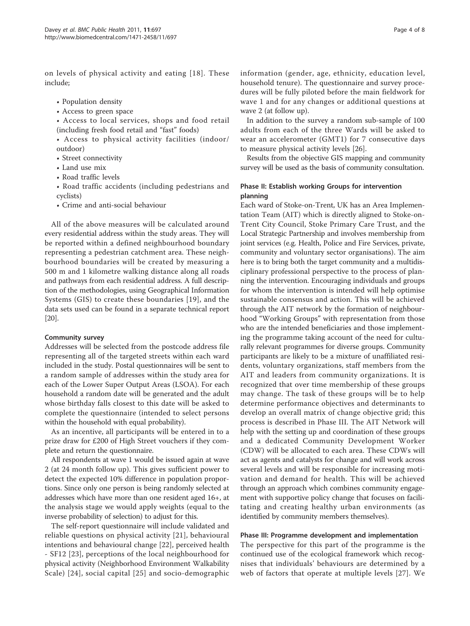on levels of physical activity and eating [[18](#page-7-0)]. These include;

- Population density
- Access to green space
- Access to local services, shops and food retail (including fresh food retail and "fast" foods)
- Access to physical activity facilities (indoor/ outdoor)
- Street connectivity
- Land use mix
- Road traffic levels
- Road traffic accidents (including pedestrians and cyclists)
- Crime and anti-social behaviour

All of the above measures will be calculated around every residential address within the study areas. They will be reported within a defined neighbourhood boundary representing a pedestrian catchment area. These neighbourhood boundaries will be created by measuring a 500 m and 1 kilometre walking distance along all roads and pathways from each residential address. A full description of the methodologies, using Geographical Information Systems (GIS) to create these boundaries [\[19\]](#page-7-0), and the data sets used can be found in a separate technical report [[20](#page-7-0)].

#### Community survey

Addresses will be selected from the postcode address file representing all of the targeted streets within each ward included in the study. Postal questionnaires will be sent to a random sample of addresses within the study area for each of the Lower Super Output Areas (LSOA). For each household a random date will be generated and the adult whose birthday falls closest to this date will be asked to complete the questionnaire (intended to select persons within the household with equal probability).

As an incentive, all participants will be entered in to a prize draw for £200 of High Street vouchers if they complete and return the questionnaire.

All respondents at wave 1 would be issued again at wave 2 (at 24 month follow up). This gives sufficient power to detect the expected 10% difference in population proportions. Since only one person is being randomly selected at addresses which have more than one resident aged 16+, at the analysis stage we would apply weights (equal to the inverse probability of selection) to adjust for this.

The self-report questionnaire will include validated and reliable questions on physical activity [\[21\]](#page-7-0), behavioural intentions and behavioural change [[22\]](#page-7-0), perceived health - SF12 [\[23](#page-7-0)], perceptions of the local neighbourhood for physical activity (Neighborhood Environment Walkability Scale) [[24](#page-7-0)], social capital [[25](#page-7-0)] and socio-demographic information (gender, age, ethnicity, education level, household tenure). The questionnaire and survey procedures will be fully piloted before the main fieldwork for wave 1 and for any changes or additional questions at wave 2 (at follow up).

In addition to the survey a random sub-sample of 100 adults from each of the three Wards will be asked to wear an accelerometer (GMT1) for 7 consecutive days to measure physical activity levels [[26\]](#page-7-0).

Results from the objective GIS mapping and community survey will be used as the basis of community consultation.

## Phase II: Establish working Groups for intervention planning

Each ward of Stoke-on-Trent, UK has an Area Implementation Team (AIT) which is directly aligned to Stoke-on-Trent City Council, Stoke Primary Care Trust, and the Local Strategic Partnership and involves membership from joint services (e.g. Health, Police and Fire Services, private, community and voluntary sector organisations). The aim here is to bring both the target community and a multidisciplinary professional perspective to the process of planning the intervention. Encouraging individuals and groups for whom the intervention is intended will help optimise sustainable consensus and action. This will be achieved through the AIT network by the formation of neighbourhood "Working Groups" with representation from those who are the intended beneficiaries and those implementing the programme taking account of the need for culturally relevant programmes for diverse groups. Community participants are likely to be a mixture of unaffiliated residents, voluntary organizations, staff members from the AIT and leaders from community organizations. It is recognized that over time membership of these groups may change. The task of these groups will be to help determine performance objectives and determinants to develop an overall matrix of change objective grid; this process is described in Phase III. The AIT Network will help with the setting up and coordination of these groups and a dedicated Community Development Worker (CDW) will be allocated to each area. These CDWs will act as agents and catalysts for change and will work across several levels and will be responsible for increasing motivation and demand for health. This will be achieved through an approach which combines community engagement with supportive policy change that focuses on facilitating and creating healthy urban environments (as identified by community members themselves).

#### Phase III: Programme development and implementation

The perspective for this part of the programme is the continued use of the ecological framework which recognises that individuals' behaviours are determined by a web of factors that operate at multiple levels [[27\]](#page-7-0). We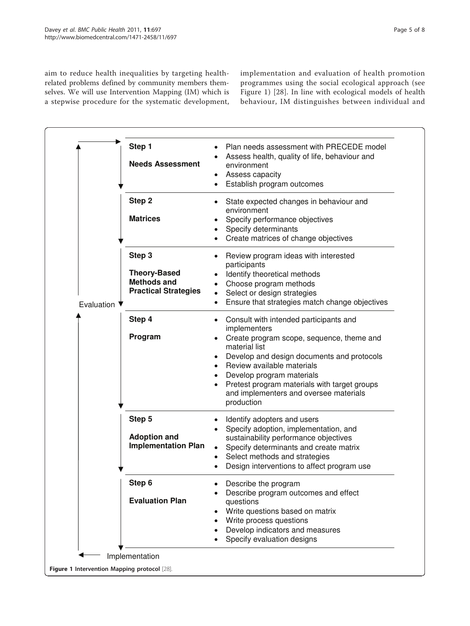aim to reduce health inequalities by targeting healthrelated problems defined by community members themselves. We will use Intervention Mapping (IM) which is a stepwise procedure for the systematic development,

implementation and evaluation of health promotion programmes using the social ecological approach (see Figure 1) [[28](#page-7-0)]. In line with ecological models of health behaviour, IM distinguishes between individual and

| Evaluation                                   | Step 1<br><b>Needs Assessment</b>                                                  | Plan needs assessment with PRECEDE model<br>Assess health, quality of life, behaviour and<br>environment<br>Assess capacity<br>Establish program outcomes<br>$\bullet$                                                                                                                                                                                                       |
|----------------------------------------------|------------------------------------------------------------------------------------|------------------------------------------------------------------------------------------------------------------------------------------------------------------------------------------------------------------------------------------------------------------------------------------------------------------------------------------------------------------------------|
|                                              | Step 2<br><b>Matrices</b>                                                          | State expected changes in behaviour and<br>environment<br>Specify performance objectives<br>Specify determinants<br>Create matrices of change objectives                                                                                                                                                                                                                     |
|                                              | Step 3<br><b>Theory-Based</b><br><b>Methods and</b><br><b>Practical Strategies</b> | Review program ideas with interested<br>$\bullet$<br>participants<br>Identify theoretical methods<br>Choose program methods<br>Select or design strategies<br>$\bullet$<br>Ensure that strategies match change objectives                                                                                                                                                    |
|                                              | Step 4<br>Program                                                                  | Consult with intended participants and<br>$\bullet$<br>implementers<br>Create program scope, sequence, theme and<br>material list<br>Develop and design documents and protocols<br>$\bullet$<br>Review available materials<br>Develop program materials<br>$\bullet$<br>Pretest program materials with target groups<br>and implementers and oversee materials<br>production |
|                                              | Step 5<br><b>Adoption and</b><br><b>Implementation Plan</b>                        | Identify adopters and users<br>$\bullet$<br>Specify adoption, implementation, and<br>sustainability performance objectives<br>Specify determinants and create matrix<br>Select methods and strategies<br>Design interventions to affect program use                                                                                                                          |
|                                              | Step 6<br><b>Evaluation Plan</b>                                                   | Describe the program<br>Describe program outcomes and effect<br>questions<br>Write questions based on matrix<br>Write process questions<br>Develop indicators and measures<br>Specify evaluation designs                                                                                                                                                                     |
| Figure 1 Intervention Mapping protocol [28]. | Implementation                                                                     |                                                                                                                                                                                                                                                                                                                                                                              |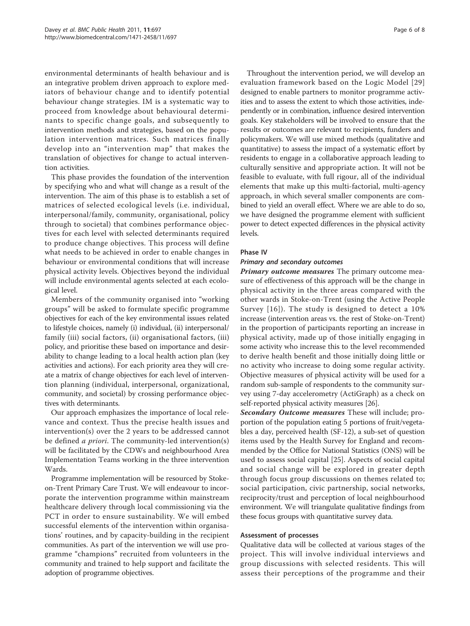environmental determinants of health behaviour and is an integrative problem driven approach to explore mediators of behaviour change and to identify potential behaviour change strategies. IM is a systematic way to proceed from knowledge about behavioural determinants to specific change goals, and subsequently to intervention methods and strategies, based on the population intervention matrices. Such matrices finally develop into an "intervention map" that makes the translation of objectives for change to actual intervention activities.

This phase provides the foundation of the intervention by specifying who and what will change as a result of the intervention. The aim of this phase is to establish a set of matrices of selected ecological levels (i.e. individual, interpersonal/family, community, organisational, policy through to societal) that combines performance objectives for each level with selected determinants required to produce change objectives. This process will define what needs to be achieved in order to enable changes in behaviour or environmental conditions that will increase physical activity levels. Objectives beyond the individual will include environmental agents selected at each ecological level.

Members of the community organised into "working groups" will be asked to formulate specific programme objectives for each of the key environmental issues related to lifestyle choices, namely (i) individual, (ii) interpersonal/ family (iii) social factors, (ii) organisational factors, (iii) policy, and prioritise these based on importance and desirability to change leading to a local health action plan (key activities and actions). For each priority area they will create a matrix of change objectives for each level of intervention planning (individual, interpersonal, organizational, community, and societal) by crossing performance objectives with determinants.

Our approach emphasizes the importance of local relevance and context. Thus the precise health issues and intervention(s) over the 2 years to be addressed cannot be defined a priori. The community-led intervention(s) will be facilitated by the CDWs and neighbourhood Area Implementation Teams working in the three intervention Wards.

Programme implementation will be resourced by Stokeon-Trent Primary Care Trust. We will endeavour to incorporate the intervention programme within mainstream healthcare delivery through local commissioning via the PCT in order to ensure sustainability. We will embed successful elements of the intervention within organisations' routines, and by capacity-building in the recipient communities. As part of the intervention we will use programme "champions" recruited from volunteers in the community and trained to help support and facilitate the adoption of programme objectives.

Throughout the intervention period, we will develop an evaluation framework based on the Logic Model [[29](#page-7-0)] designed to enable partners to monitor programme activities and to assess the extent to which those activities, independently or in combination, influence desired intervention goals. Key stakeholders will be involved to ensure that the results or outcomes are relevant to recipients, funders and policymakers. We will use mixed methods (qualitative and quantitative) to assess the impact of a systematic effort by residents to engage in a collaborative approach leading to culturally sensitive and appropriate action. It will not be feasible to evaluate, with full rigour, all of the individual elements that make up this multi-factorial, multi-agency approach, in which several smaller components are combined to yield an overall effect. Where we are able to do so, we have designed the programme element with sufficient power to detect expected differences in the physical activity levels.

## Phase IV

## Primary and secondary outcomes

Primary outcome measures The primary outcome measure of effectiveness of this approach will be the change in physical activity in the three areas compared with the other wards in Stoke-on-Trent (using the Active People Survey [[16](#page-7-0)]). The study is designed to detect a 10% increase (intervention areas vs. the rest of Stoke-on-Trent) in the proportion of participants reporting an increase in physical activity, made up of those initially engaging in some activity who increase this to the level recommended to derive health benefit and those initially doing little or no activity who increase to doing some regular activity. Objective measures of physical activity will be used for a random sub-sample of respondents to the community survey using 7-day accelerometry (ActiGraph) as a check on self-reported physical activity measures [\[26\]](#page-7-0).

Secondary Outcome measures These will include; proportion of the population eating 5 portions of fruit/vegetables a day, perceived health (SF-12), a sub-set of question items used by the Health Survey for England and recommended by the Office for National Statistics (ONS) will be used to assess social capital [[25\]](#page-7-0). Aspects of social capital and social change will be explored in greater depth through focus group discussions on themes related to; social participation, civic partnership, social networks, reciprocity/trust and perception of local neighbourhood environment. We will triangulate qualitative findings from these focus groups with quantitative survey data.

## Assessment of processes

Qualitative data will be collected at various stages of the project. This will involve individual interviews and group discussions with selected residents. This will assess their perceptions of the programme and their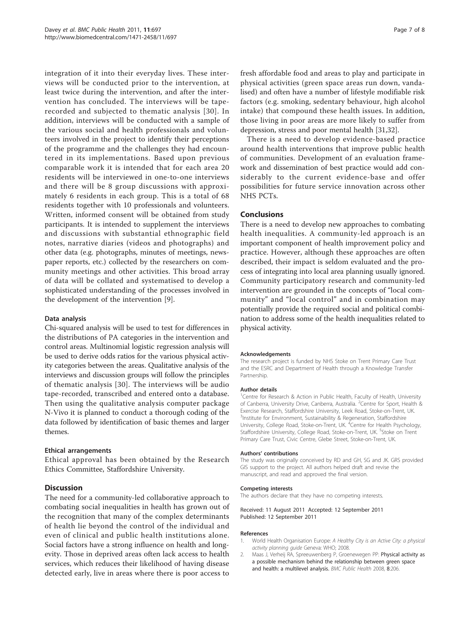<span id="page-6-0"></span>integration of it into their everyday lives. These interviews will be conducted prior to the intervention, at least twice during the intervention, and after the intervention has concluded. The interviews will be taperecorded and subjected to thematic analysis [[30\]](#page-7-0). In addition, interviews will be conducted with a sample of the various social and health professionals and volunteers involved in the project to identify their perceptions of the programme and the challenges they had encountered in its implementations. Based upon previous comparable work it is intended that for each area 20 residents will be interviewed in one-to-one interviews and there will be 8 group discussions with approximately 6 residents in each group. This is a total of 68 residents together with 10 professionals and volunteers. Written, informed consent will be obtained from study participants. It is intended to supplement the interviews and discussions with substantial ethnographic field notes, narrative diaries (videos and photographs) and other data (e.g. photographs, minutes of meetings, newspaper reports, etc.) collected by the researchers on community meetings and other activities. This broad array of data will be collated and systematised to develop a sophisticated understanding of the processes involved in the development of the intervention [\[9](#page-7-0)].

## Data analysis

Chi-squared analysis will be used to test for differences in the distributions of PA categories in the intervention and control areas. Multinomial logistic regression analysis will be used to derive odds ratios for the various physical activity categories between the areas. Qualitative analysis of the interviews and discussion groups will follow the principles of thematic analysis [[30](#page-7-0)]. The interviews will be audio tape-recorded, transcribed and entered onto a database. Then using the qualitative analysis computer package N-Vivo it is planned to conduct a thorough coding of the data followed by identification of basic themes and larger themes.

#### Ethical arrangements

Ethical approval has been obtained by the Research Ethics Committee, Staffordshire University.

## **Discussion**

The need for a community-led collaborative approach to combating social inequalities in health has grown out of the recognition that many of the complex determinants of health lie beyond the control of the individual and even of clinical and public health institutions alone. Social factors have a strong influence on health and longevity. Those in deprived areas often lack access to health services, which reduces their likelihood of having disease detected early, live in areas where there is poor access to fresh affordable food and areas to play and participate in physical activities (green space areas run down, vandalised) and often have a number of lifestyle modifiable risk factors (e.g. smoking, sedentary behaviour, high alcohol intake) that compound these health issues. In addition, those living in poor areas are more likely to suffer from depression, stress and poor mental health [\[31,32\]](#page-7-0).

There is a need to develop evidence-based practice around health interventions that improve public health of communities. Development of an evaluation framework and dissemination of best practice would add considerably to the current evidence-base and offer possibilities for future service innovation across other NHS PCTs.

#### Conclusions

There is a need to develop new approaches to combating health inequalities. A community-led approach is an important component of health improvement policy and practice. However, although these approaches are often described, their impact is seldom evaluated and the process of integrating into local area planning usually ignored. Community participatory research and community-led intervention are grounded in the concepts of "local community" and "local control" and in combination may potentially provide the required social and political combination to address some of the health inequalities related to physical activity.

#### Acknowledgements

The research project is funded by NHS Stoke on Trent Primary Care Trust and the ESRC and Department of Health through a Knowledge Transfer Partnership.

#### Author details

<sup>1</sup> Centre for Research & Action in Public Health, Faculty of Health, University of Canberra, University Drive, Canberra, Australia. <sup>2</sup>Centre for Sport, Health 8 Exercise Research, Staffordshire University, Leek Road, Stoke-on-Trent, UK. <sup>3</sup>Institute for Environment, Sustainability & Regeneration, Staffordshire University, College Road, Stoke-on-Trent, UK. <sup>4</sup>Centre for Health Psychology, Staffordshire University, College Road, Stoke-on-Trent, UK. <sup>5</sup>Stoke on Trent Primary Care Trust, Civic Centre, Glebe Street, Stoke-on-Trent, UK.

#### Authors' contributions

The study was originally conceived by RD and GH, SG and JK. GRS provided GIS support to the project. All authors helped draft and revise the manuscript, and read and approved the final version.

#### Competing interests

The authors declare that they have no competing interests.

#### Received: 11 August 2011 Accepted: 12 September 2011 Published: 12 September 2011

#### References

- 1. World Health Organisation Europe: A Healthy City is an Active City: a physical activity planning guide Geneva: WHO; 2008.
- 2. Maas J, Verheij RA, Spreeuwenberg P, Groenewegen PP: [Physical activity as](http://www.ncbi.nlm.nih.gov/pubmed/18544169?dopt=Abstract) [a possible mechanism behind the relationship between green space](http://www.ncbi.nlm.nih.gov/pubmed/18544169?dopt=Abstract) [and health: a multilevel analysis.](http://www.ncbi.nlm.nih.gov/pubmed/18544169?dopt=Abstract) BMC Public Health 2008, 8:206.